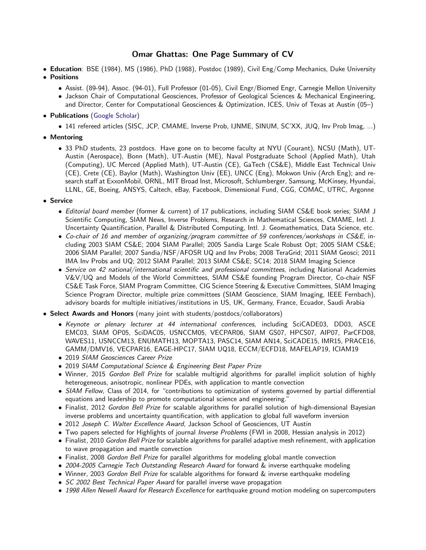# Omar Ghattas: One Page Summary of CV

- Education: BSE (1984), MS (1986), PhD (1988), Postdoc (1989), Civil Eng/Comp Mechanics, Duke University • Positions
	- Assist. (89-94), Assoc. (94-01), Full Professor (01-05), Civil Engr/Biomed Engr, Carnegie Mellon University
	- Jackson Chair of Computational Geosciences, Professor of Geological Sciences & Mechanical Engineering, and Director, Center for Computational Geosciences & Optimization, ICES, Univ of Texas at Austin (05–)
- Publications [\(Google Scholar\)](https://scholar.google.com/citations?user=A5vhsIYAAAAJ&hl=en)
	- 141 refereed articles (SISC, JCP, CMAME, Inverse Prob, IJNME, SINUM, SC'XX, JUQ, Inv Prob Imag, ...)
- Mentoring
	- 33 PhD students, 23 postdocs. Have gone on to become faculty at NYU (Courant), NCSU (Math), UT-Austin (Aerospace), Bonn (Math), UT-Austin (ME), Naval Postgraduate School (Applied Math), Utah (Computing), UC Merced (Applied Math), UT-Austin (CE), GaTech (CS&E), Middle East Technical Univ (CE), Crete (CE), Baylor (Math), Washington Univ (EE), UNCC (Eng), Mokwon Univ (Arch Eng); and research staff at ExxonMobil, ORNL, MIT Broad Inst, Microsoft, Schlumberger, Samsung, McKinsey, Hyundai, LLNL, GE, Boeing, ANSYS, Caltech, eBay, Facebook, Dimensional Fund, CGG, COMAC, UTRC, Argonne
- Service
	- Editorial board member (former & current) of 17 publications, including SIAM CS&E book series; SIAM J Scientific Computing, SIAM News, Inverse Problems, Research in Mathematical Sciences, CMAME, Intl. J. Uncertainty Quantification, Parallel & Distributed Computing, Intl. J. Geomathematics, Data Science, etc.
	- Co-chair of 16 and member of organizing/program committee of 59 conferences/workshops in CS&E, including 2003 SIAM CS&E; 2004 SIAM Parallel; 2005 Sandia Large Scale Robust Opt; 2005 SIAM CS&E; 2006 SIAM Parallel; 2007 Sandia/NSF/AFOSR UQ and Inv Probs; 2008 TeraGrid; 2011 SIAM Geosci; 2011 IMA Inv Probs and UQ; 2012 SIAM Parallel; 2013 SIAM CS&E; SC14; 2018 SIAM Imaging Science
	- Service on 42 national/international scientific and professional committees, including National Academies V&V/UQ and Models of the World Committees, SIAM CS&E founding Program Director, Co-chair NSF CS&E Task Force, SIAM Program Committee, CIG Science Steering & Executive Committees, SIAM Imaging Science Program Director, multiple prize committees (SIAM Geoscience, SIAM Imaging, IEEE Fernbach), advisory boards for multiple initiatives/institutions in US, UK, Germany, France, Ecuador, Saudi Arabia
- Select Awards and Honors (many joint with students/postdocs/collaborators)
	- Keynote or plenary lecturer at 44 international conferences, including SciCADE03, DD03, ASCE EMC03, SIAM OP05, SciDAC05, USNCCM05, VECPAR06, SIAM GS07, HPCS07, AIP07, ParCFD08, WAVES11, USNCCM13, ENUMATH13, MOPTA13, PASC14, SIAM AN14, SciCADE15, IMR15, PRACE16, GAMM/DMV16, VECPAR16, EAGE-HPC17, SIAM UQ18, ECCM/ECFD18, MAFELAP19, ICIAM19
	- 2019 SIAM Geosciences Career Prize
	- 2019 SIAM Computational Science & Engineering Best Paper Prize
	- Winner, 2015 Gordon Bell Prize for scalable multigrid algorithms for parallel implicit solution of highly heterogeneous, anisotropic, nonlinear PDEs, with application to mantle convection
	- SIAM Fellow, Class of 2014, for "contributions to optimization of systems governed by partial differential equations and leadership to promote computational science and engineering."
	- Finalist, 2012 Gordon Bell Prize for scalable algorithms for parallel solution of high-dimensional Bayesian inverse problems and uncertainty quantification, with application to global full waveform inversion
	- 2012 Joseph C. Walter Excellence Award, Jackson School of Geosciences, UT Austin
	- Two papers selected for Highlights of journal Inverse Problems (FWI in 2008, Hessian analysis in 2012)
	- Finalist, 2010 Gordon Bell Prize for scalable algorithms for parallel adaptive mesh refinement, with application to wave propagation and mantle convection
	- Finalist, 2008 Gordon Bell Prize for parallel algorithms for modeling global mantle convection
	- 2004-2005 Carnegie Tech Outstanding Research Award for forward & inverse earthquake modeling
	- Winner, 2003 Gordon Bell Prize for scalable algorithms for forward & inverse earthquake modeling
	- SC 2002 Best Technical Paper Award for parallel inverse wave propagation
	- 1998 Allen Newell Award for Research Excellence for earthquake ground motion modeling on supercomputers